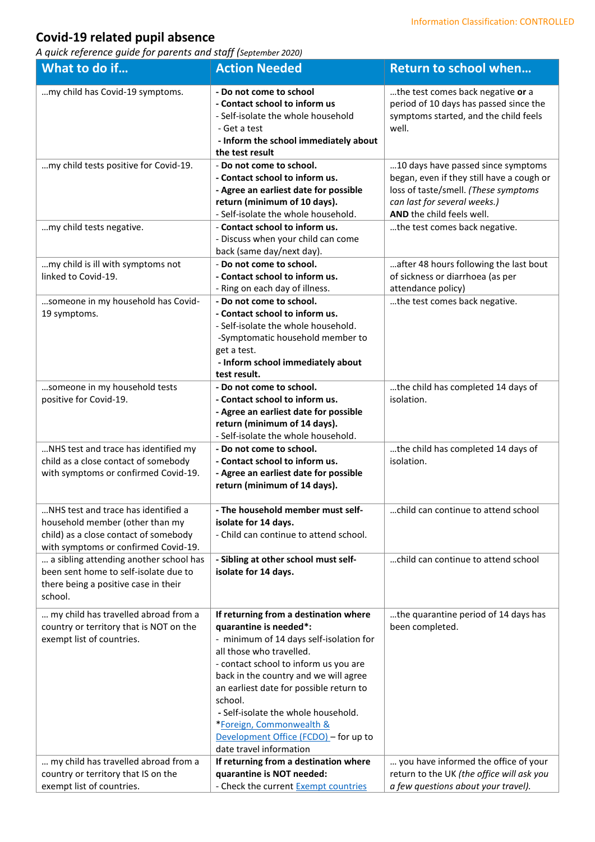## **Covid-19 related pupil absence**

*A quick reference guide for parents and staff (September 2020)*

| What to do if                                                                                                                                           | <b>Action Needed</b>                                                                                                                                                                                                                                                                                                                                                                                                  | <b>Return to school when</b>                                                                                                                                                         |
|---------------------------------------------------------------------------------------------------------------------------------------------------------|-----------------------------------------------------------------------------------------------------------------------------------------------------------------------------------------------------------------------------------------------------------------------------------------------------------------------------------------------------------------------------------------------------------------------|--------------------------------------------------------------------------------------------------------------------------------------------------------------------------------------|
| my child has Covid-19 symptoms.                                                                                                                         | - Do not come to school<br>- Contact school to inform us<br>- Self-isolate the whole household<br>- Get a test<br>- Inform the school immediately about<br>the test result                                                                                                                                                                                                                                            | the test comes back negative or a<br>period of 10 days has passed since the<br>symptoms started, and the child feels<br>well.                                                        |
| my child tests positive for Covid-19.                                                                                                                   | - Do not come to school.<br>- Contact school to inform us.<br>- Agree an earliest date for possible<br>return (minimum of 10 days).<br>- Self-isolate the whole household.                                                                                                                                                                                                                                            | 10 days have passed since symptoms<br>began, even if they still have a cough or<br>loss of taste/smell. (These symptoms<br>can last for several weeks.)<br>AND the child feels well. |
| my child tests negative.                                                                                                                                | - Contact school to inform us.<br>- Discuss when your child can come<br>back (same day/next day).                                                                                                                                                                                                                                                                                                                     | the test comes back negative.                                                                                                                                                        |
| my child is ill with symptoms not<br>linked to Covid-19.                                                                                                | - Do not come to school.<br>- Contact school to inform us.<br>- Ring on each day of illness.                                                                                                                                                                                                                                                                                                                          | after 48 hours following the last bout<br>of sickness or diarrhoea (as per<br>attendance policy)                                                                                     |
| someone in my household has Covid-<br>19 symptoms.                                                                                                      | - Do not come to school.<br>- Contact school to inform us.<br>- Self-isolate the whole household.<br>-Symptomatic household member to<br>get a test.<br>- Inform school immediately about<br>test result.                                                                                                                                                                                                             | the test comes back negative.                                                                                                                                                        |
| someone in my household tests<br>positive for Covid-19.                                                                                                 | - Do not come to school.<br>- Contact school to inform us.<br>- Agree an earliest date for possible<br>return (minimum of 14 days).<br>- Self-isolate the whole household.                                                                                                                                                                                                                                            | the child has completed 14 days of<br>isolation.                                                                                                                                     |
| NHS test and trace has identified my<br>child as a close contact of somebody<br>with symptoms or confirmed Covid-19.                                    | - Do not come to school.<br>- Contact school to inform us.<br>- Agree an earliest date for possible<br>return (minimum of 14 days).                                                                                                                                                                                                                                                                                   | the child has completed 14 days of<br>isolation.                                                                                                                                     |
| NHS test and trace has identified a<br>household member (other than my<br>child) as a close contact of somebody<br>with symptoms or confirmed Covid-19. | - The household member must self-<br>isolate for 14 days.<br>- Child can continue to attend school.                                                                                                                                                                                                                                                                                                                   | child can continue to attend school                                                                                                                                                  |
| a sibling attending another school has<br>been sent home to self-isolate due to<br>there being a positive case in their<br>school.                      | - Sibling at other school must self-<br>isolate for 14 days.                                                                                                                                                                                                                                                                                                                                                          | child can continue to attend school                                                                                                                                                  |
| my child has travelled abroad from a<br>country or territory that is NOT on the<br>exempt list of countries.                                            | If returning from a destination where<br>quarantine is needed*:<br>- minimum of 14 days self-isolation for<br>all those who travelled.<br>- contact school to inform us you are<br>back in the country and we will agree<br>an earliest date for possible return to<br>school.<br>- Self-isolate the whole household.<br>*Foreign, Commonwealth &<br>Development Office (FCDO) - for up to<br>date travel information | the quarantine period of 14 days has<br>been completed.                                                                                                                              |
| my child has travelled abroad from a<br>country or territory that IS on the<br>exempt list of countries.                                                | If returning from a destination where<br>quarantine is NOT needed:<br>- Check the current Exempt countries                                                                                                                                                                                                                                                                                                            | you have informed the office of your<br>return to the UK (the office will ask you<br>a few questions about your travel).                                                             |